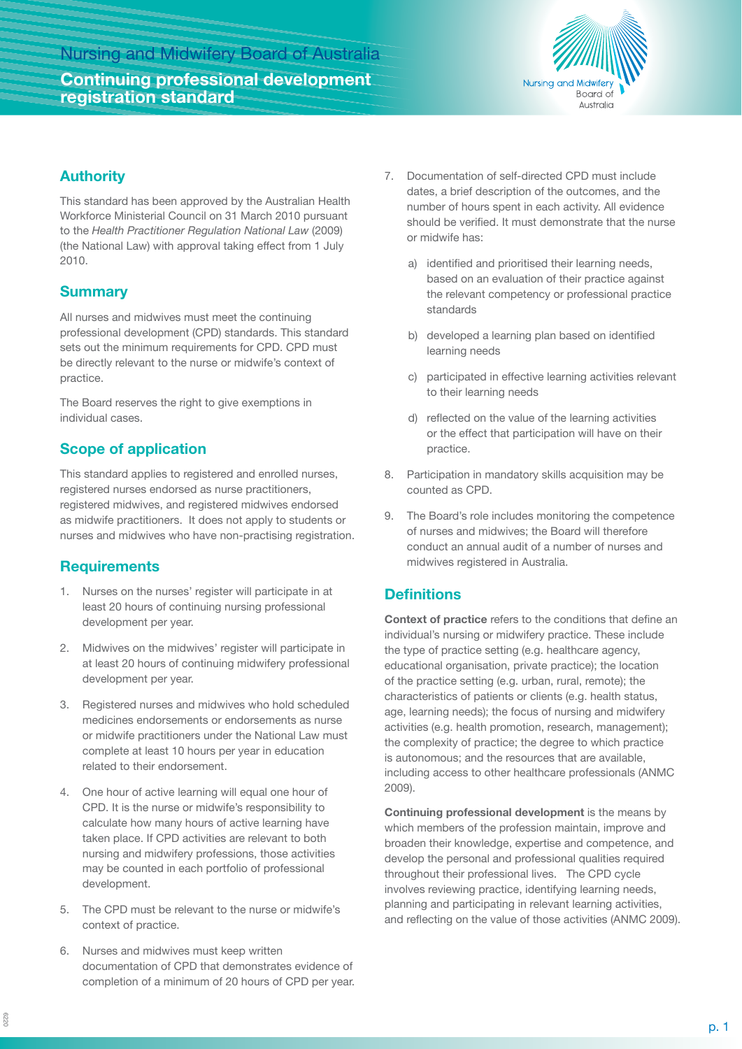# Nursing and Midwifery Board of Australia

**Continuing professional development registration standard**



### **Authority**

This standard has been approved by the Australian Health Workforce Ministerial Council on 31 March 2010 pursuant to the *Health Practitioner Regulation National Law* (2009) (the National Law) with approval taking effect from 1 July 2010.

### **Summary**

All nurses and midwives must meet the continuing professional development (CPD) standards. This standard sets out the minimum requirements for CPD. CPD must be directly relevant to the nurse or midwife's context of practice.

The Board reserves the right to give exemptions in individual cases.

# **Scope of application**

This standard applies to registered and enrolled nurses, registered nurses endorsed as nurse practitioners, registered midwives, and registered midwives endorsed as midwife practitioners. It does not apply to students or nurses and midwives who have non-practising registration.

# **Requirements**

- 1. Nurses on the nurses' register will participate in at least 20 hours of continuing nursing professional development per year.
- 2. Midwives on the midwives' register will participate in at least 20 hours of continuing midwifery professional development per year.
- 3. Registered nurses and midwives who hold scheduled medicines endorsements or endorsements as nurse or midwife practitioners under the National Law must complete at least 10 hours per year in education related to their endorsement.
- 4. One hour of active learning will equal one hour of CPD. It is the nurse or midwife's responsibility to calculate how many hours of active learning have taken place. If CPD activities are relevant to both nursing and midwifery professions, those activities may be counted in each portfolio of professional development.
- 5. The CPD must be relevant to the nurse or midwife's context of practice.
- 6. Nurses and midwives must keep written documentation of CPD that demonstrates evidence of completion of a minimum of 20 hours of CPD per year.
- 7. Documentation of self-directed CPD must include dates, a brief description of the outcomes, and the number of hours spent in each activity. All evidence should be verified. It must demonstrate that the nurse or midwife has:
	- a) identified and prioritised their learning needs, based on an evaluation of their practice against the relevant competency or professional practice standards
	- b) developed a learning plan based on identified learning needs
	- c) participated in effective learning activities relevant to their learning needs
	- d) reflected on the value of the learning activities or the effect that participation will have on their practice.
- 8. Participation in mandatory skills acquisition may be counted as CPD.
- 9. The Board's role includes monitoring the competence of nurses and midwives; the Board will therefore conduct an annual audit of a number of nurses and midwives registered in Australia.

#### **Definitions**

**Context of practice** refers to the conditions that define an individual's nursing or midwifery practice. These include the type of practice setting (e.g. healthcare agency, educational organisation, private practice); the location of the practice setting (e.g. urban, rural, remote); the characteristics of patients or clients (e.g. health status, age, learning needs); the focus of nursing and midwifery activities (e.g. health promotion, research, management); the complexity of practice; the degree to which practice is autonomous; and the resources that are available, including access to other healthcare professionals (ANMC 2009).

**Continuing professional development** is the means by which members of the profession maintain, improve and broaden their knowledge, expertise and competence, and develop the personal and professional qualities required throughout their professional lives. The CPD cycle involves reviewing practice, identifying learning needs, planning and participating in relevant learning activities, and reflecting on the value of those activities (ANMC 2009).